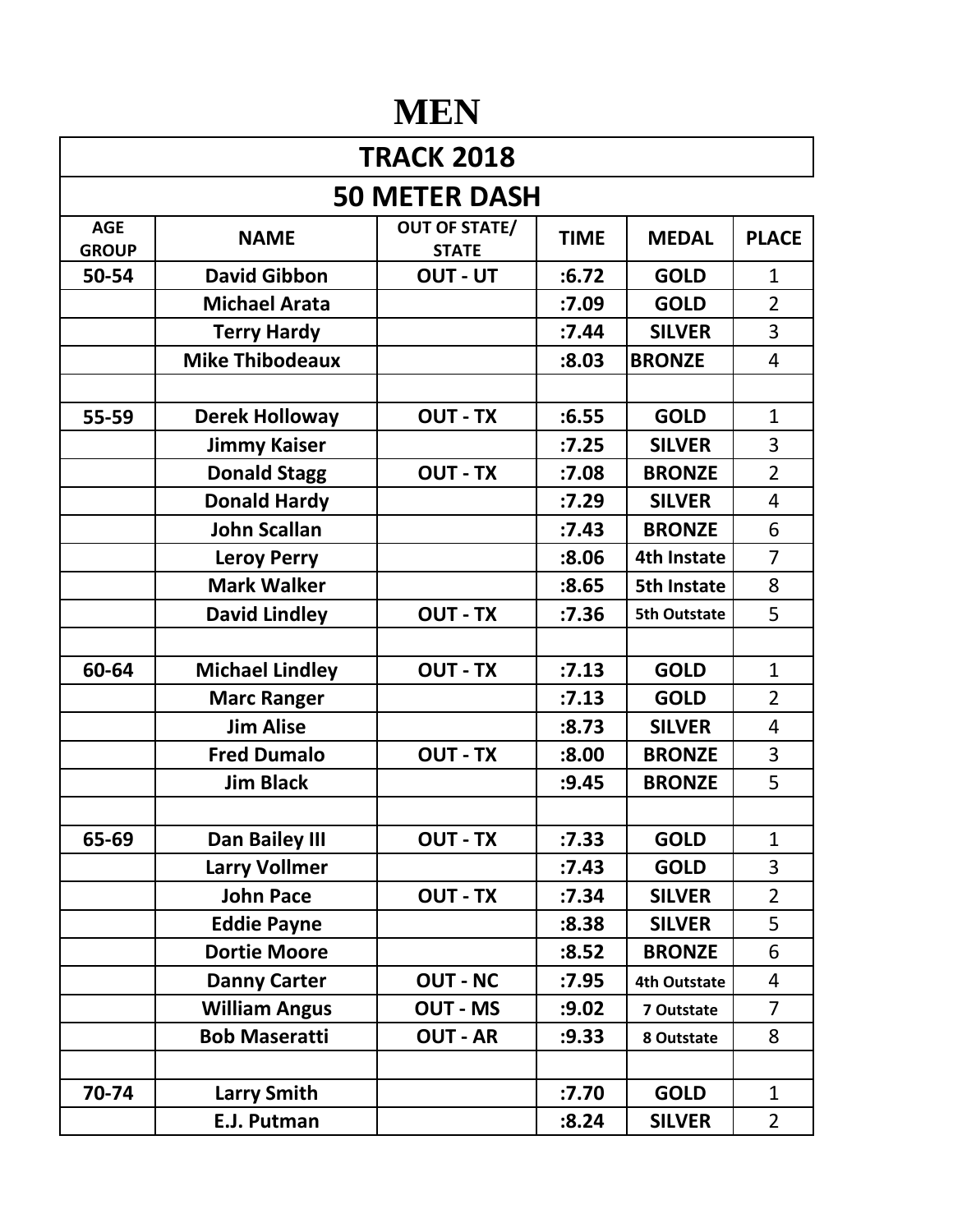## **MEN**

| <b>TRACK 2018</b>          |                        |                                      |             |                     |                |  |  |  |
|----------------------------|------------------------|--------------------------------------|-------------|---------------------|----------------|--|--|--|
|                            | <b>50 METER DASH</b>   |                                      |             |                     |                |  |  |  |
| <b>AGE</b><br><b>GROUP</b> | <b>NAME</b>            | <b>OUT OF STATE/</b><br><b>STATE</b> | <b>TIME</b> | <b>MEDAL</b>        | <b>PLACE</b>   |  |  |  |
| 50-54                      | <b>David Gibbon</b>    | OUT - UT                             | :6.72       | <b>GOLD</b>         | $\mathbf{1}$   |  |  |  |
|                            | <b>Michael Arata</b>   |                                      | :7.09       | <b>GOLD</b>         | $\overline{2}$ |  |  |  |
|                            | <b>Terry Hardy</b>     |                                      | :7.44       | <b>SILVER</b>       | 3              |  |  |  |
|                            | <b>Mike Thibodeaux</b> |                                      | :8.03       | <b>BRONZE</b>       | 4              |  |  |  |
|                            |                        |                                      |             |                     |                |  |  |  |
| 55-59                      | <b>Derek Holloway</b>  | <b>OUT - TX</b>                      | :6.55       | <b>GOLD</b>         | $\mathbf{1}$   |  |  |  |
|                            | <b>Jimmy Kaiser</b>    |                                      | :7.25       | <b>SILVER</b>       | 3              |  |  |  |
|                            | <b>Donald Stagg</b>    | <b>OUT - TX</b>                      | :7.08       | <b>BRONZE</b>       | $\overline{2}$ |  |  |  |
|                            | <b>Donald Hardy</b>    |                                      | :7.29       | <b>SILVER</b>       | 4              |  |  |  |
|                            | <b>John Scallan</b>    |                                      | :7.43       | <b>BRONZE</b>       | 6              |  |  |  |
|                            | <b>Leroy Perry</b>     |                                      | :8.06       | <b>4th Instate</b>  | $\overline{7}$ |  |  |  |
|                            | <b>Mark Walker</b>     |                                      | :8.65       | <b>5th Instate</b>  | 8              |  |  |  |
|                            | <b>David Lindley</b>   | <b>OUT - TX</b>                      | :7.36       | <b>5th Outstate</b> | 5              |  |  |  |
|                            |                        |                                      |             |                     |                |  |  |  |
| 60-64                      | <b>Michael Lindley</b> | <b>OUT - TX</b>                      | :7.13       | <b>GOLD</b>         | $\mathbf{1}$   |  |  |  |
|                            | <b>Marc Ranger</b>     |                                      | :7.13       | <b>GOLD</b>         | $\overline{2}$ |  |  |  |
|                            | <b>Jim Alise</b>       |                                      | :8.73       | <b>SILVER</b>       | $\overline{4}$ |  |  |  |
|                            | <b>Fred Dumalo</b>     | <b>OUT - TX</b>                      | :8.00       | <b>BRONZE</b>       | 3              |  |  |  |
|                            | <b>Jim Black</b>       |                                      | :9.45       | <b>BRONZE</b>       | 5              |  |  |  |
|                            |                        |                                      |             |                     |                |  |  |  |
| 65-69                      | Dan Bailey III         | <b>OUT - TX</b>                      | :7.33       | <b>GOLD</b>         | $\mathbf{1}$   |  |  |  |
|                            | <b>Larry Vollmer</b>   |                                      | :7.43       | <b>GOLD</b>         | 3              |  |  |  |
|                            | <b>John Pace</b>       | <b>OUT - TX</b>                      | :7.34       | <b>SILVER</b>       | $\overline{2}$ |  |  |  |
|                            | <b>Eddie Payne</b>     |                                      | :8.38       | <b>SILVER</b>       | 5              |  |  |  |
|                            | <b>Dortie Moore</b>    |                                      | :8.52       | <b>BRONZE</b>       | 6              |  |  |  |
|                            | <b>Danny Carter</b>    | <b>OUT - NC</b>                      | :7.95       | <b>4th Outstate</b> | 4              |  |  |  |
|                            | <b>William Angus</b>   | <b>OUT - MS</b>                      | :9.02       | 7 Outstate          | $\overline{7}$ |  |  |  |
|                            | <b>Bob Maseratti</b>   | <b>OUT - AR</b>                      | :9.33       | 8 Outstate          | 8              |  |  |  |
|                            |                        |                                      |             |                     |                |  |  |  |
| 70-74                      | <b>Larry Smith</b>     |                                      | :7.70       | <b>GOLD</b>         | $\mathbf{1}$   |  |  |  |
|                            | E.J. Putman            |                                      | :8.24       | <b>SILVER</b>       | $\overline{2}$ |  |  |  |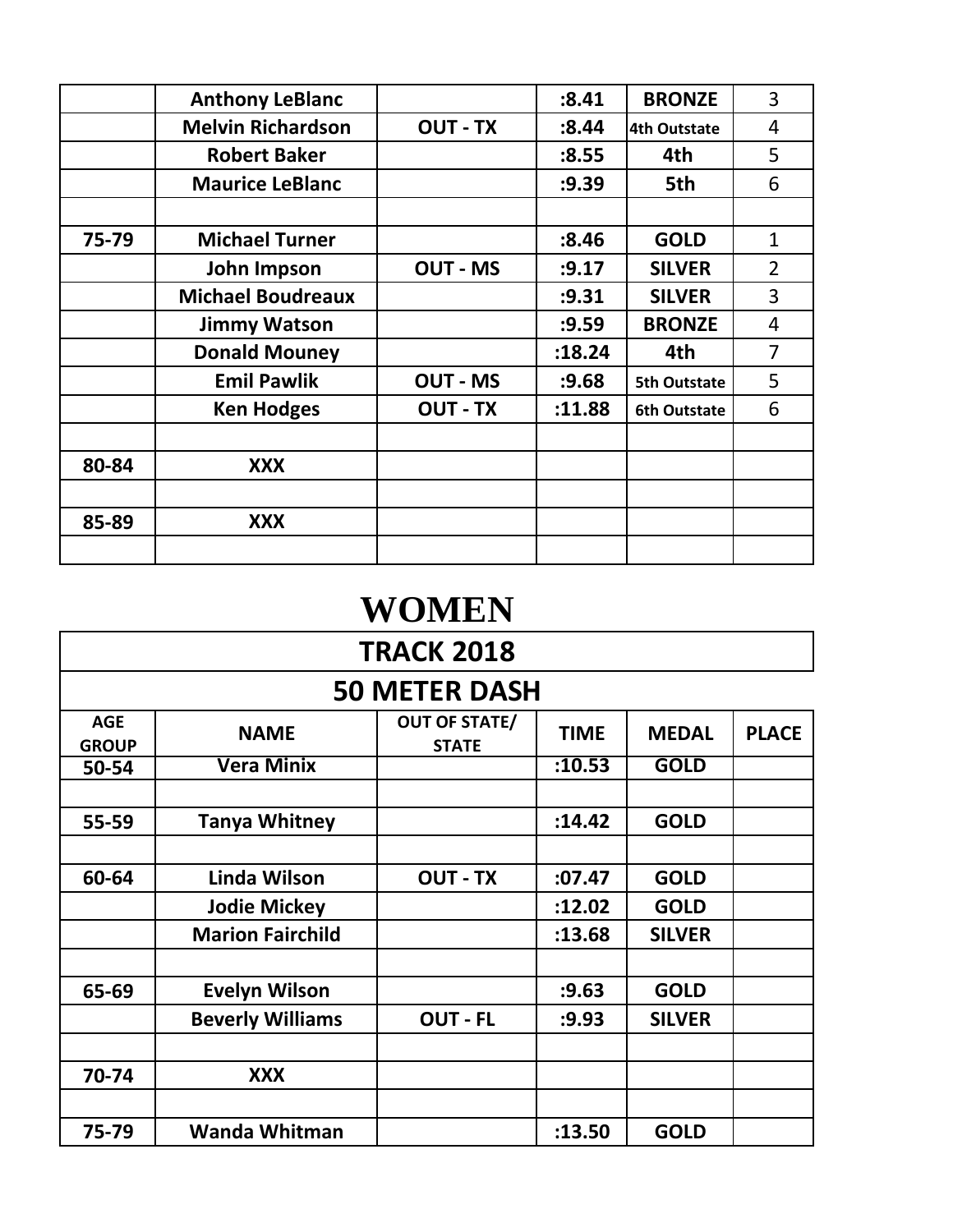|       | <b>Anthony LeBlanc</b>   |                 | :8.41  | <b>BRONZE</b>       | 3              |
|-------|--------------------------|-----------------|--------|---------------------|----------------|
|       | <b>Melvin Richardson</b> | <b>OUT - TX</b> | :8.44  | <b>4th Outstate</b> | 4              |
|       | <b>Robert Baker</b>      |                 | :8.55  | 4th                 | 5              |
|       | <b>Maurice LeBlanc</b>   |                 | :9.39  | 5th                 | 6              |
|       |                          |                 |        |                     |                |
| 75-79 | <b>Michael Turner</b>    |                 | :8.46  | <b>GOLD</b>         | $\mathbf{1}$   |
|       | John Impson              | <b>OUT - MS</b> | : 9.17 | <b>SILVER</b>       | $\overline{2}$ |
|       | <b>Michael Boudreaux</b> |                 | :9.31  | <b>SILVER</b>       | 3              |
|       | <b>Jimmy Watson</b>      |                 | :9.59  | <b>BRONZE</b>       | $\overline{4}$ |
|       | <b>Donald Mouney</b>     |                 | :18.24 | 4th                 | $\overline{7}$ |
|       | <b>Emil Pawlik</b>       | <b>OUT - MS</b> | : 9.68 | <b>5th Outstate</b> | 5              |
|       | <b>Ken Hodges</b>        | <b>OUT - TX</b> | :11.88 | <b>6th Outstate</b> | 6              |
|       |                          |                 |        |                     |                |
| 80-84 | <b>XXX</b>               |                 |        |                     |                |
|       |                          |                 |        |                     |                |
| 85-89 | <b>XXX</b>               |                 |        |                     |                |
|       |                          |                 |        |                     |                |

## **WOMEN**

| <b>TRACK 2018</b>          |                         |                                      |             |               |              |  |  |
|----------------------------|-------------------------|--------------------------------------|-------------|---------------|--------------|--|--|
|                            |                         | <b>50 METER DASH</b>                 |             |               |              |  |  |
| <b>AGE</b><br><b>GROUP</b> | <b>NAME</b>             | <b>OUT OF STATE/</b><br><b>STATE</b> | <b>TIME</b> | <b>MEDAL</b>  | <b>PLACE</b> |  |  |
| 50-54                      | <b>Vera Minix</b>       |                                      | :10.53      | <b>GOLD</b>   |              |  |  |
|                            |                         |                                      |             |               |              |  |  |
| 55-59                      | <b>Tanya Whitney</b>    |                                      | :14.42      | <b>GOLD</b>   |              |  |  |
|                            |                         |                                      |             |               |              |  |  |
| 60-64                      | Linda Wilson            | <b>OUT - TX</b>                      | :07.47      | <b>GOLD</b>   |              |  |  |
|                            | <b>Jodie Mickey</b>     |                                      | :12.02      | <b>GOLD</b>   |              |  |  |
|                            | <b>Marion Fairchild</b> |                                      | :13.68      | <b>SILVER</b> |              |  |  |
|                            |                         |                                      |             |               |              |  |  |
| 65-69                      | <b>Evelyn Wilson</b>    |                                      | :9.63       | <b>GOLD</b>   |              |  |  |
|                            | <b>Beverly Williams</b> | <b>OUT - FL</b>                      | :9.93       | <b>SILVER</b> |              |  |  |
|                            |                         |                                      |             |               |              |  |  |
| 70-74                      | <b>XXX</b>              |                                      |             |               |              |  |  |
|                            |                         |                                      |             |               |              |  |  |
| 75-79                      | <b>Wanda Whitman</b>    |                                      | :13.50      | <b>GOLD</b>   |              |  |  |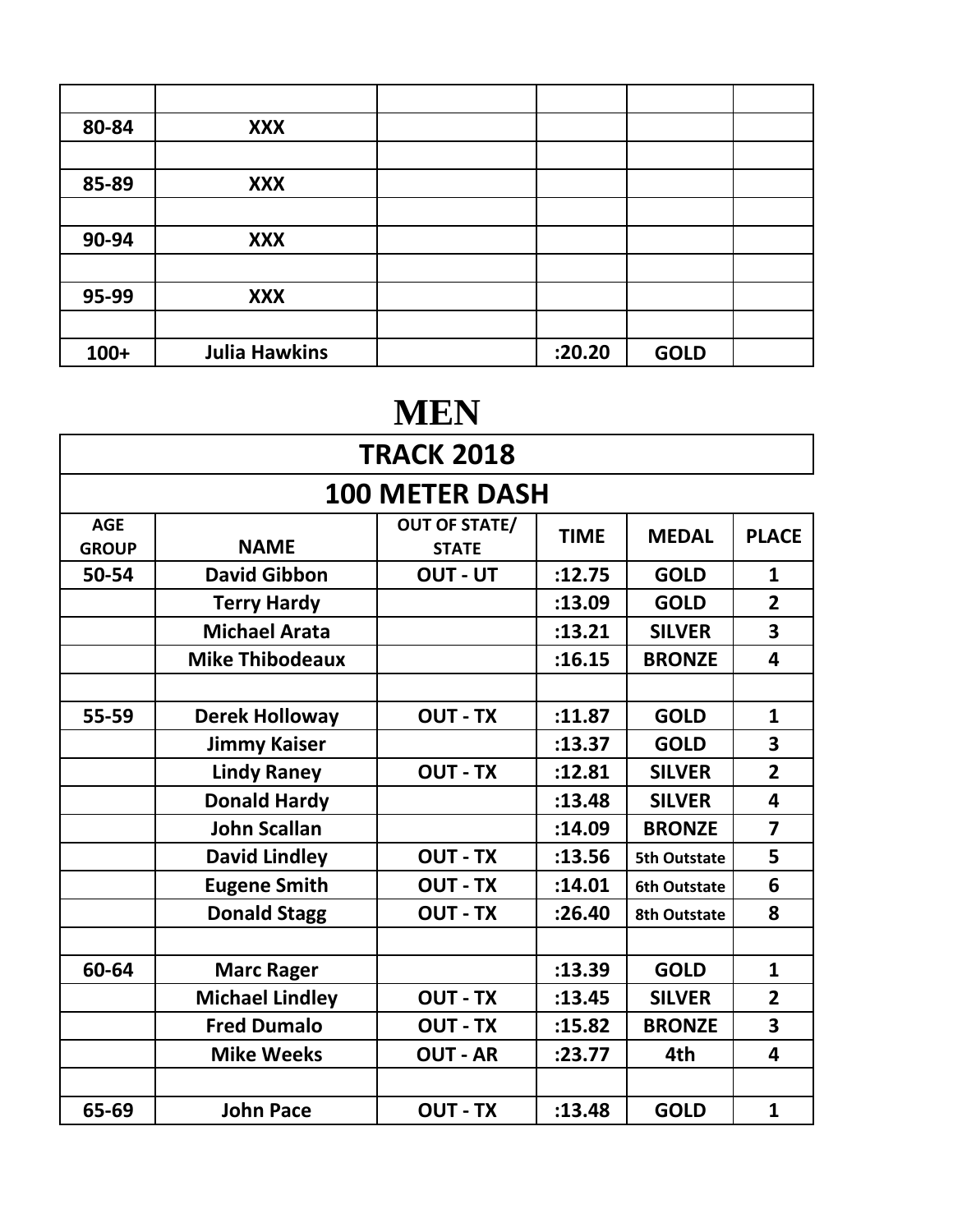| 80-84  | <b>XXX</b>           |        |             |  |
|--------|----------------------|--------|-------------|--|
|        |                      |        |             |  |
| 85-89  | <b>XXX</b>           |        |             |  |
|        |                      |        |             |  |
| 90-94  | <b>XXX</b>           |        |             |  |
|        |                      |        |             |  |
| 95-99  | <b>XXX</b>           |        |             |  |
|        |                      |        |             |  |
| $100+$ | <b>Julia Hawkins</b> | :20.20 | <b>GOLD</b> |  |

## **MEN**

| <b>TRACK 2018</b>          |                        |                                      |             |                     |                         |  |
|----------------------------|------------------------|--------------------------------------|-------------|---------------------|-------------------------|--|
|                            |                        | <b>100 METER DASH</b>                |             |                     |                         |  |
| <b>AGE</b><br><b>GROUP</b> | <b>NAME</b>            | <b>OUT OF STATE/</b><br><b>STATE</b> | <b>TIME</b> | <b>MEDAL</b>        | <b>PLACE</b>            |  |
| 50-54                      | <b>David Gibbon</b>    | <b>OUT - UT</b>                      | :12.75      | <b>GOLD</b>         | $\mathbf{1}$            |  |
|                            | <b>Terry Hardy</b>     |                                      | :13.09      | <b>GOLD</b>         | $\overline{2}$          |  |
|                            | <b>Michael Arata</b>   |                                      | :13.21      | <b>SILVER</b>       | $\overline{\mathbf{3}}$ |  |
|                            | <b>Mike Thibodeaux</b> |                                      | :16.15      | <b>BRONZE</b>       | 4                       |  |
|                            |                        |                                      |             |                     |                         |  |
| 55-59                      | <b>Derek Holloway</b>  | <b>OUT - TX</b>                      | :11.87      | <b>GOLD</b>         | 1                       |  |
|                            | <b>Jimmy Kaiser</b>    |                                      | :13.37      | <b>GOLD</b>         | 3                       |  |
|                            | <b>Lindy Raney</b>     | <b>OUT - TX</b>                      | :12.81      | <b>SILVER</b>       | $\overline{2}$          |  |
|                            | <b>Donald Hardy</b>    |                                      | :13.48      | <b>SILVER</b>       | 4                       |  |
|                            | <b>John Scallan</b>    |                                      | :14.09      | <b>BRONZE</b>       | $\overline{7}$          |  |
|                            | <b>David Lindley</b>   | <b>OUT - TX</b>                      | :13.56      | <b>5th Outstate</b> | 5                       |  |
|                            | <b>Eugene Smith</b>    | <b>OUT - TX</b>                      | :14.01      | <b>6th Outstate</b> | 6                       |  |
|                            | <b>Donald Stagg</b>    | <b>OUT - TX</b>                      | :26.40      | <b>8th Outstate</b> | 8                       |  |
|                            |                        |                                      |             |                     |                         |  |
| 60-64                      | <b>Marc Rager</b>      |                                      | :13.39      | <b>GOLD</b>         | $\mathbf{1}$            |  |
|                            | <b>Michael Lindley</b> | <b>OUT - TX</b>                      | :13.45      | <b>SILVER</b>       | $\overline{2}$          |  |
|                            | <b>Fred Dumalo</b>     | <b>OUT - TX</b>                      | :15.82      | <b>BRONZE</b>       | $\overline{\mathbf{3}}$ |  |
|                            | <b>Mike Weeks</b>      | <b>OUT - AR</b>                      | : 23.77     | 4th                 | 4                       |  |
|                            |                        |                                      |             |                     |                         |  |
| 65-69                      | <b>John Pace</b>       | <b>OUT - TX</b>                      | :13.48      | <b>GOLD</b>         | $\mathbf{1}$            |  |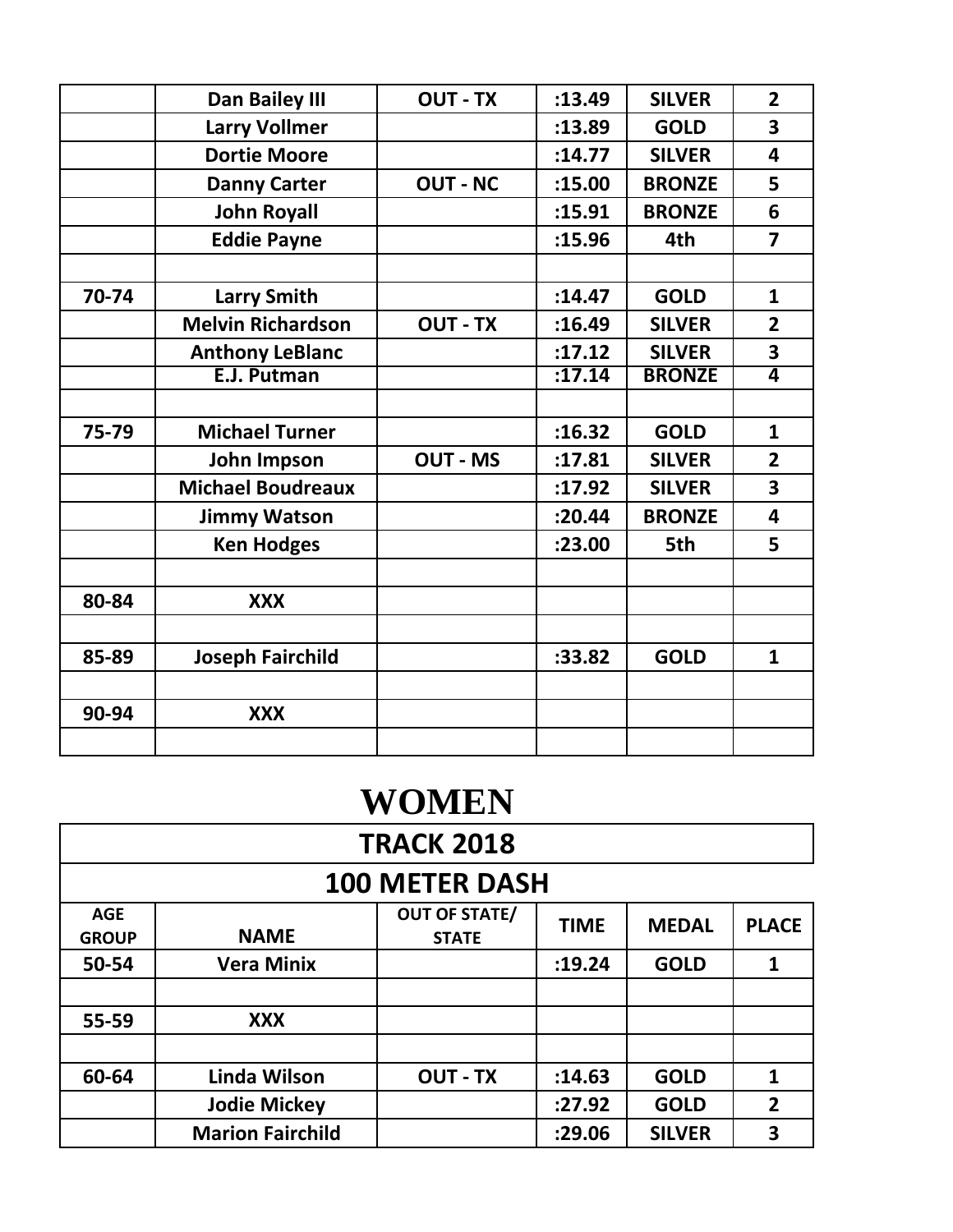|       | Dan Bailey III           | <b>OUT - TX</b> | :13.49  | <b>SILVER</b> | $\overline{2}$          |
|-------|--------------------------|-----------------|---------|---------------|-------------------------|
|       | <b>Larry Vollmer</b>     |                 | :13.89  | <b>GOLD</b>   | 3                       |
|       | <b>Dortie Moore</b>      |                 | :14.77  | <b>SILVER</b> | 4                       |
|       | <b>Danny Carter</b>      | <b>OUT - NC</b> | :15.00  | <b>BRONZE</b> | 5                       |
|       | <b>John Royall</b>       |                 | :15.91  | <b>BRONZE</b> | 6                       |
|       | <b>Eddie Payne</b>       |                 | :15.96  | 4th           | $\overline{\mathbf{z}}$ |
|       |                          |                 |         |               |                         |
| 70-74 | <b>Larry Smith</b>       |                 | :14.47  | <b>GOLD</b>   | $\mathbf{1}$            |
|       | <b>Melvin Richardson</b> | <b>OUT - TX</b> | :16.49  | <b>SILVER</b> | $\overline{2}$          |
|       | <b>Anthony LeBlanc</b>   |                 | :17.12  | <b>SILVER</b> | 3                       |
|       | E.J. Putman              |                 | :17.14  | <b>BRONZE</b> | $\overline{\mathbf{4}}$ |
|       |                          |                 |         |               |                         |
| 75-79 | <b>Michael Turner</b>    |                 | :16.32  | <b>GOLD</b>   | $\mathbf{1}$            |
|       | John Impson              | <b>OUT - MS</b> | :17.81  | <b>SILVER</b> | $\overline{2}$          |
|       | <b>Michael Boudreaux</b> |                 | :17.92  | <b>SILVER</b> | 3                       |
|       | <b>Jimmy Watson</b>      |                 | : 20.44 | <b>BRONZE</b> | 4                       |
|       | <b>Ken Hodges</b>        |                 | :23.00  | 5th           | 5                       |
|       |                          |                 |         |               |                         |
| 80-84 | <b>XXX</b>               |                 |         |               |                         |
|       |                          |                 |         |               |                         |
| 85-89 | <b>Joseph Fairchild</b>  |                 | :33.82  | <b>GOLD</b>   | $\mathbf{1}$            |
|       |                          |                 |         |               |                         |
| 90-94 | <b>XXX</b>               |                 |         |               |                         |
|       |                          |                 |         |               |                         |
|       |                          |                 |         |               |                         |

| <b>WOMEN</b> |
|--------------|
|              |

|                            | <b>TRACK 2018</b>       |                                      |             |               |                |  |  |  |
|----------------------------|-------------------------|--------------------------------------|-------------|---------------|----------------|--|--|--|
|                            | <b>100 METER DASH</b>   |                                      |             |               |                |  |  |  |
| <b>AGE</b><br><b>GROUP</b> | <b>NAME</b>             | <b>OUT OF STATE/</b><br><b>STATE</b> | <b>TIME</b> | <b>MEDAL</b>  | <b>PLACE</b>   |  |  |  |
| 50-54                      | <b>Vera Minix</b>       |                                      | :19.24      | <b>GOLD</b>   | 1              |  |  |  |
|                            |                         |                                      |             |               |                |  |  |  |
| 55-59                      | <b>XXX</b>              |                                      |             |               |                |  |  |  |
|                            |                         |                                      |             |               |                |  |  |  |
| 60-64                      | Linda Wilson            | <b>OUT - TX</b>                      | :14.63      | <b>GOLD</b>   | $\mathbf{1}$   |  |  |  |
|                            | <b>Jodie Mickey</b>     |                                      | :27.92      | <b>GOLD</b>   | $\overline{2}$ |  |  |  |
|                            | <b>Marion Fairchild</b> |                                      | :29.06      | <b>SILVER</b> | 3              |  |  |  |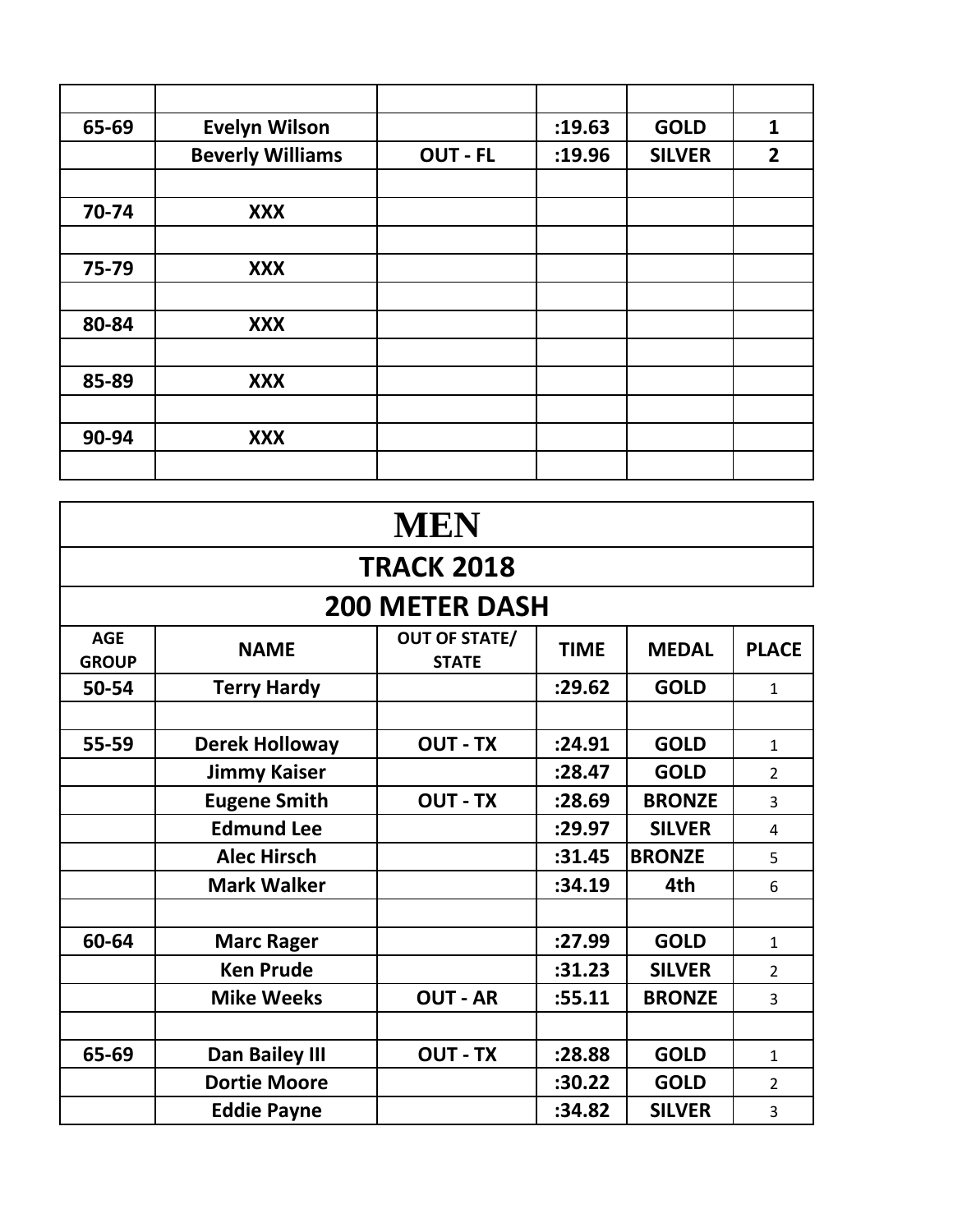| 65-69 | <b>Evelyn Wilson</b>    |                 | :19.63 | <b>GOLD</b>   | $\mathbf{1}$   |
|-------|-------------------------|-----------------|--------|---------------|----------------|
|       | <b>Beverly Williams</b> | <b>OUT - FL</b> | :19.96 | <b>SILVER</b> | $\overline{2}$ |
|       |                         |                 |        |               |                |
| 70-74 | <b>XXX</b>              |                 |        |               |                |
|       |                         |                 |        |               |                |
| 75-79 | <b>XXX</b>              |                 |        |               |                |
|       |                         |                 |        |               |                |
| 80-84 | <b>XXX</b>              |                 |        |               |                |
|       |                         |                 |        |               |                |
| 85-89 | <b>XXX</b>              |                 |        |               |                |
|       |                         |                 |        |               |                |
| 90-94 | <b>XXX</b>              |                 |        |               |                |
|       |                         |                 |        |               |                |

| <b>MEN</b>                 |                       |                                      |             |               |                |
|----------------------------|-----------------------|--------------------------------------|-------------|---------------|----------------|
|                            |                       | <b>TRACK 2018</b>                    |             |               |                |
|                            |                       | <b>200 METER DASH</b>                |             |               |                |
| <b>AGE</b><br><b>GROUP</b> | <b>NAME</b>           | <b>OUT OF STATE/</b><br><b>STATE</b> | <b>TIME</b> | <b>MEDAL</b>  | <b>PLACE</b>   |
| 50-54                      | <b>Terry Hardy</b>    |                                      | :29.62      | <b>GOLD</b>   | $\mathbf{1}$   |
|                            |                       |                                      |             |               |                |
| 55-59                      | <b>Derek Holloway</b> | <b>OUT - TX</b>                      | :24.91      | <b>GOLD</b>   | $\mathbf{1}$   |
|                            | <b>Jimmy Kaiser</b>   |                                      | :28.47      | <b>GOLD</b>   | $\overline{2}$ |
|                            | <b>Eugene Smith</b>   | <b>OUT - TX</b>                      | :28.69      | <b>BRONZE</b> | $\overline{3}$ |
|                            | <b>Edmund Lee</b>     |                                      | :29.97      | <b>SILVER</b> | 4              |
|                            | <b>Alec Hirsch</b>    |                                      | :31.45      | <b>BRONZE</b> | 5              |
|                            | <b>Mark Walker</b>    |                                      | :34.19      | 4th           | 6              |
|                            |                       |                                      |             |               |                |
| 60-64                      | <b>Marc Rager</b>     |                                      | :27.99      | <b>GOLD</b>   | $\mathbf{1}$   |
|                            | <b>Ken Prude</b>      |                                      | :31.23      | <b>SILVER</b> | $\overline{2}$ |
|                            | <b>Mike Weeks</b>     | <b>OUT - AR</b>                      | :55.11      | <b>BRONZE</b> | $\overline{3}$ |
|                            |                       |                                      |             |               |                |
| 65-69                      | <b>Dan Bailey III</b> | <b>OUT - TX</b>                      | :28.88      | <b>GOLD</b>   | $\mathbf{1}$   |
|                            | <b>Dortie Moore</b>   |                                      | :30.22      | <b>GOLD</b>   | $\mathcal{L}$  |
|                            | <b>Eddie Payne</b>    |                                      | :34.82      | <b>SILVER</b> | 3              |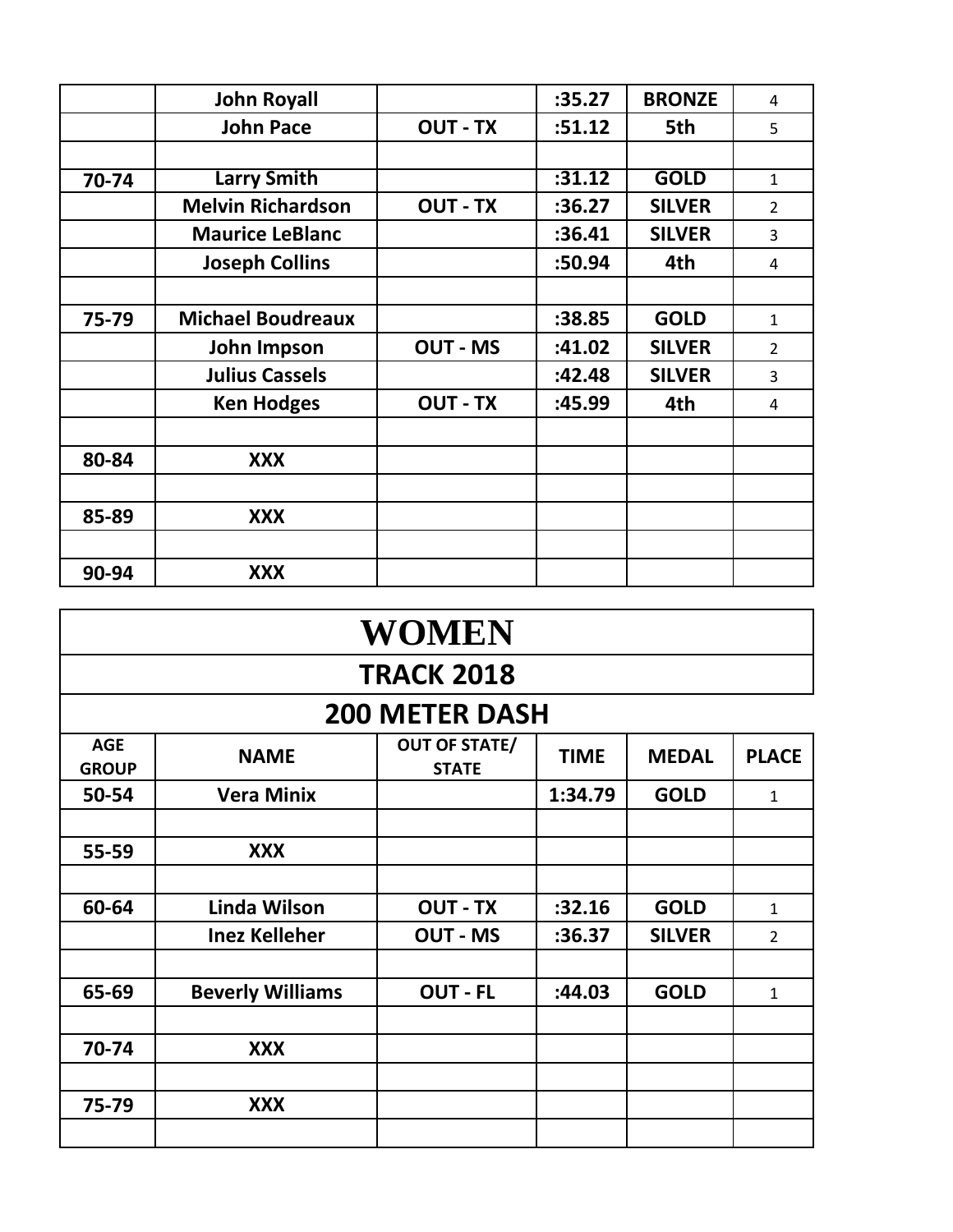|       | <b>John Royall</b>       |                 | :35.27 | <b>BRONZE</b> | 4              |
|-------|--------------------------|-----------------|--------|---------------|----------------|
|       | <b>John Pace</b>         | <b>OUT - TX</b> | :51.12 | 5th           | 5              |
|       |                          |                 |        |               |                |
| 70-74 | <b>Larry Smith</b>       |                 | :31.12 | <b>GOLD</b>   | $\mathbf{1}$   |
|       | <b>Melvin Richardson</b> | <b>OUT - TX</b> | :36.27 | <b>SILVER</b> | $\overline{2}$ |
|       | <b>Maurice LeBlanc</b>   |                 | :36.41 | <b>SILVER</b> | 3              |
|       | <b>Joseph Collins</b>    |                 | :50.94 | 4th           | 4              |
|       |                          |                 |        |               |                |
| 75-79 | <b>Michael Boudreaux</b> |                 | :38.85 | <b>GOLD</b>   | $\mathbf{1}$   |
|       | John Impson              | <b>OUT - MS</b> | :41.02 | <b>SILVER</b> | 2              |
|       | <b>Julius Cassels</b>    |                 | :42.48 | <b>SILVER</b> | 3              |
|       | <b>Ken Hodges</b>        | <b>OUT - TX</b> | :45.99 | 4th           | 4              |
|       |                          |                 |        |               |                |
| 80-84 | <b>XXX</b>               |                 |        |               |                |
|       |                          |                 |        |               |                |
| 85-89 | <b>XXX</b>               |                 |        |               |                |
|       |                          |                 |        |               |                |
| 90-94 | <b>XXX</b>               |                 |        |               |                |

| <b>WOMEN</b>               |                         |                                      |             |               |                |  |  |
|----------------------------|-------------------------|--------------------------------------|-------------|---------------|----------------|--|--|
|                            | <b>TRACK 2018</b>       |                                      |             |               |                |  |  |
|                            |                         | <b>200 METER DASH</b>                |             |               |                |  |  |
| <b>AGE</b><br><b>GROUP</b> | <b>NAME</b>             | <b>OUT OF STATE/</b><br><b>STATE</b> | <b>TIME</b> | <b>MEDAL</b>  | <b>PLACE</b>   |  |  |
| 50-54                      | <b>Vera Minix</b>       |                                      | 1:34.79     | <b>GOLD</b>   | $\mathbf{1}$   |  |  |
|                            |                         |                                      |             |               |                |  |  |
| 55-59                      | <b>XXX</b>              |                                      |             |               |                |  |  |
|                            |                         |                                      |             |               |                |  |  |
| 60-64                      | Linda Wilson            | <b>OUT - TX</b>                      | :32.16      | <b>GOLD</b>   | $\mathbf{1}$   |  |  |
|                            | <b>Inez Kelleher</b>    | <b>OUT - MS</b>                      | :36.37      | <b>SILVER</b> | $\overline{2}$ |  |  |
|                            |                         |                                      |             |               |                |  |  |
| 65-69                      | <b>Beverly Williams</b> | <b>OUT - FL</b>                      | :44.03      | <b>GOLD</b>   | $\mathbf{1}$   |  |  |
|                            |                         |                                      |             |               |                |  |  |
| 70-74                      | <b>XXX</b>              |                                      |             |               |                |  |  |
|                            |                         |                                      |             |               |                |  |  |
| 75-79                      | <b>XXX</b>              |                                      |             |               |                |  |  |
|                            |                         |                                      |             |               |                |  |  |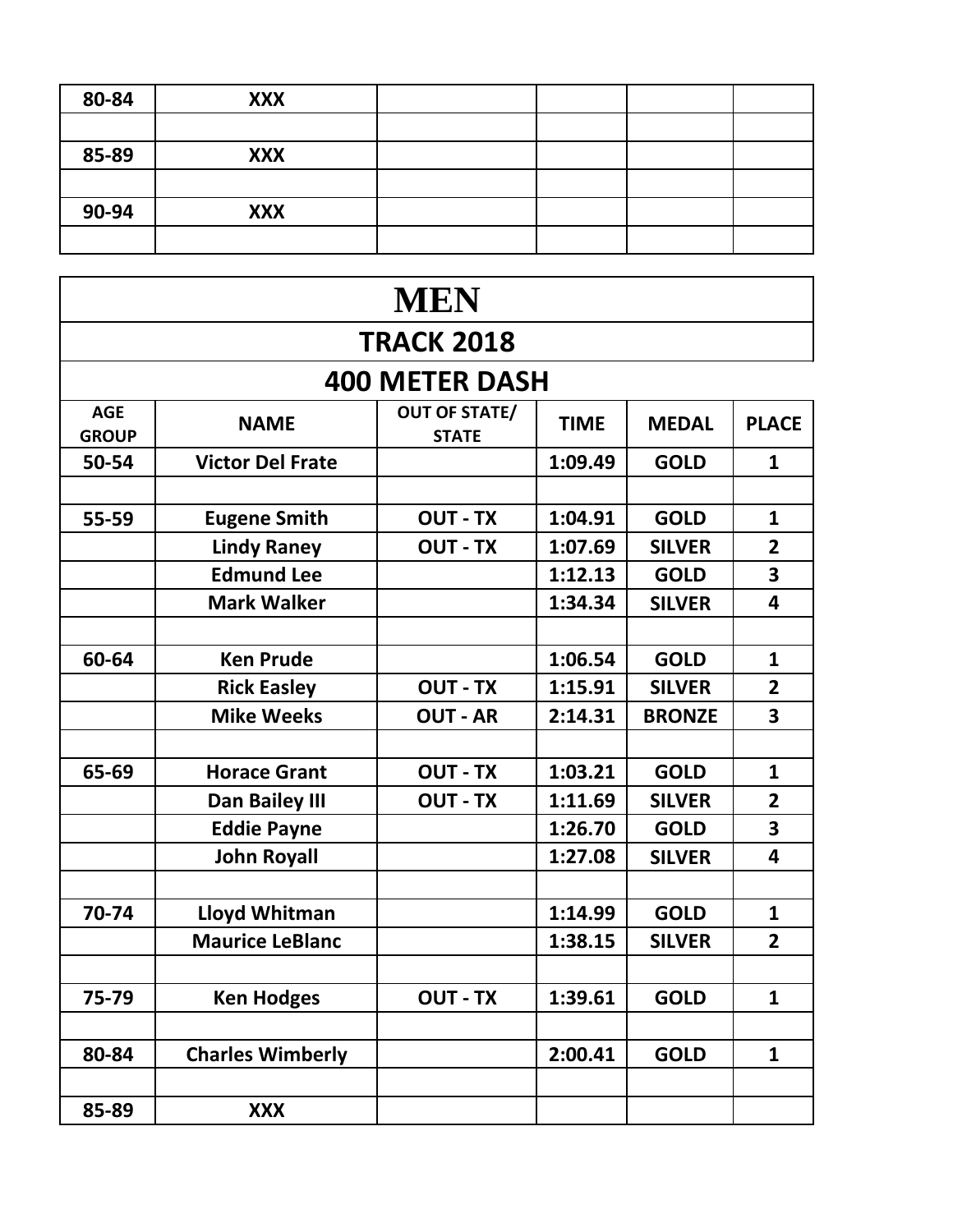| 80-84 | <b>XXX</b> |  |  |
|-------|------------|--|--|
|       |            |  |  |
| 85-89 | <b>XXX</b> |  |  |
|       |            |  |  |
| 90-94 | <b>XXX</b> |  |  |
|       |            |  |  |

|                            |                         | <b>MEN</b>                           |             |               |                |
|----------------------------|-------------------------|--------------------------------------|-------------|---------------|----------------|
|                            |                         | <b>TRACK 2018</b>                    |             |               |                |
|                            |                         | <b>400 METER DASH</b>                |             |               |                |
| <b>AGE</b><br><b>GROUP</b> | <b>NAME</b>             | <b>OUT OF STATE/</b><br><b>STATE</b> | <b>TIME</b> | <b>MEDAL</b>  | <b>PLACE</b>   |
| 50-54                      | <b>Victor Del Frate</b> |                                      | 1:09.49     | <b>GOLD</b>   | $\mathbf{1}$   |
|                            |                         |                                      |             |               |                |
| 55-59                      | <b>Eugene Smith</b>     | <b>OUT - TX</b>                      | 1:04.91     | <b>GOLD</b>   | $\mathbf{1}$   |
|                            | <b>Lindy Raney</b>      | <b>OUT - TX</b>                      | 1:07.69     | <b>SILVER</b> | $\overline{2}$ |
|                            | <b>Edmund Lee</b>       |                                      | 1:12.13     | <b>GOLD</b>   | 3              |
|                            | <b>Mark Walker</b>      |                                      | 1:34.34     | <b>SILVER</b> | 4              |
|                            |                         |                                      |             |               |                |
| 60-64                      | <b>Ken Prude</b>        |                                      | 1:06.54     | <b>GOLD</b>   | $\mathbf{1}$   |
|                            | <b>Rick Easley</b>      | <b>OUT - TX</b>                      | 1:15.91     | <b>SILVER</b> | $\overline{2}$ |
|                            | <b>Mike Weeks</b>       | <b>OUT - AR</b>                      | 2:14.31     | <b>BRONZE</b> | 3              |
|                            |                         |                                      |             |               |                |
| 65-69                      | <b>Horace Grant</b>     | <b>OUT - TX</b>                      | 1:03.21     | <b>GOLD</b>   | $\mathbf{1}$   |
|                            | Dan Bailey III          | <b>OUT - TX</b>                      | 1:11.69     | <b>SILVER</b> | $\overline{2}$ |
|                            | <b>Eddie Payne</b>      |                                      | 1:26.70     | <b>GOLD</b>   | 3              |
|                            | <b>John Royall</b>      |                                      | 1:27.08     | <b>SILVER</b> | 4              |
|                            |                         |                                      |             |               |                |
| 70-74                      | Lloyd Whitman           |                                      | 1:14.99     | <b>GOLD</b>   | 1              |
|                            | <b>Maurice LeBlanc</b>  |                                      | 1:38.15     | <b>SILVER</b> | $\overline{2}$ |
|                            |                         |                                      |             |               |                |
| 75-79                      | <b>Ken Hodges</b>       | <b>OUT - TX</b>                      | 1:39.61     | <b>GOLD</b>   | $\mathbf{1}$   |
|                            |                         |                                      |             |               |                |
| 80-84                      | <b>Charles Wimberly</b> |                                      | 2:00.41     | <b>GOLD</b>   | $\mathbf{1}$   |
|                            |                         |                                      |             |               |                |
| 85-89                      | <b>XXX</b>              |                                      |             |               |                |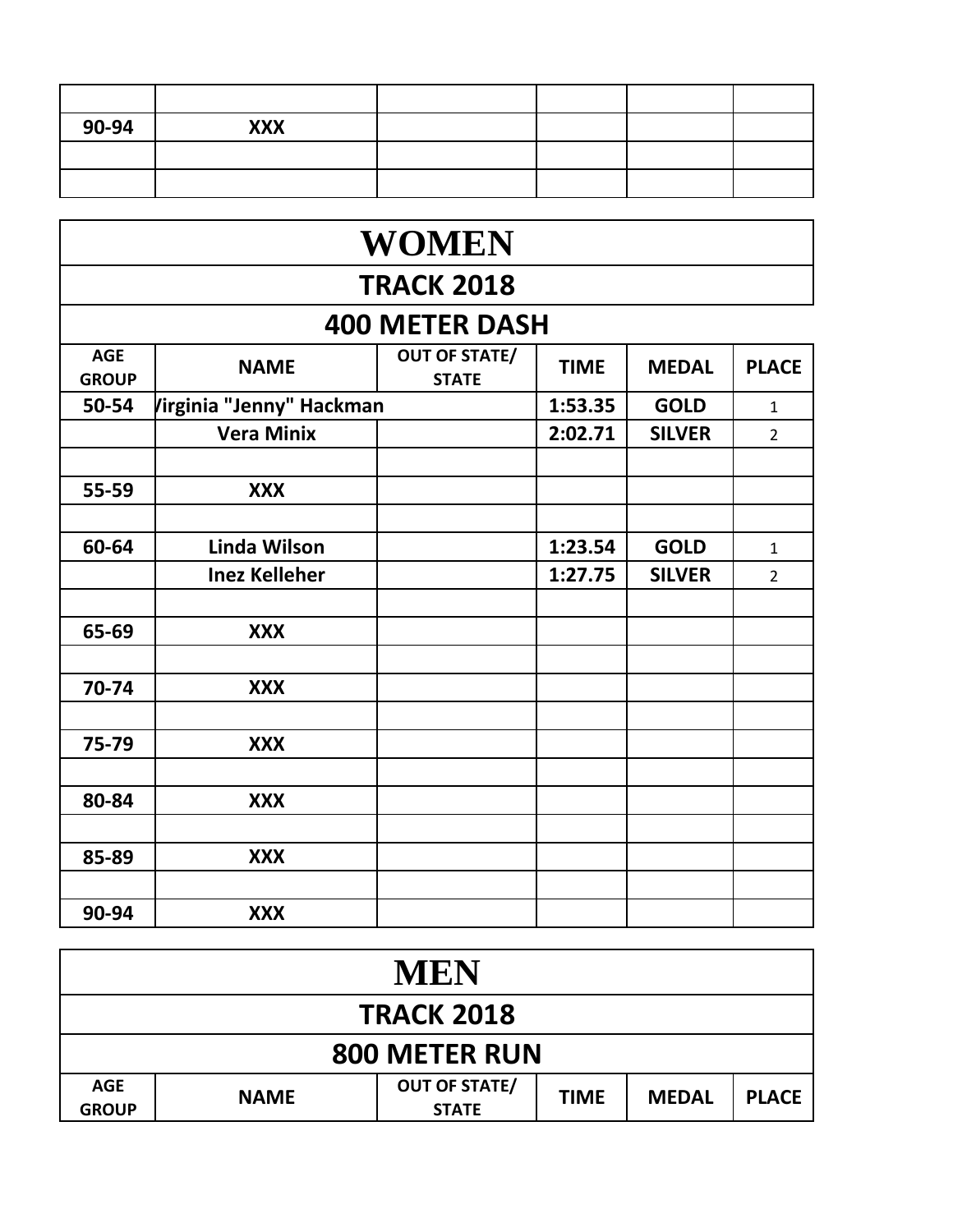| 90-94 | <b>XXX</b> |  |  |
|-------|------------|--|--|
|       |            |  |  |
|       |            |  |  |

|                            | <b>WOMEN</b>             |                                      |             |               |                |  |  |  |  |
|----------------------------|--------------------------|--------------------------------------|-------------|---------------|----------------|--|--|--|--|
|                            | <b>TRACK 2018</b>        |                                      |             |               |                |  |  |  |  |
|                            |                          | <b>400 METER DASH</b>                |             |               |                |  |  |  |  |
| <b>AGE</b><br><b>GROUP</b> | <b>NAME</b>              | <b>OUT OF STATE/</b><br><b>STATE</b> | <b>TIME</b> | <b>MEDAL</b>  | <b>PLACE</b>   |  |  |  |  |
| 50-54                      | Virginia "Jenny" Hackman |                                      | 1:53.35     | <b>GOLD</b>   | $\mathbf{1}$   |  |  |  |  |
|                            | <b>Vera Minix</b>        |                                      | 2:02.71     | <b>SILVER</b> | $\overline{2}$ |  |  |  |  |
|                            |                          |                                      |             |               |                |  |  |  |  |
| 55-59                      | <b>XXX</b>               |                                      |             |               |                |  |  |  |  |
|                            |                          |                                      |             |               |                |  |  |  |  |
| 60-64                      | Linda Wilson             |                                      | 1:23.54     | <b>GOLD</b>   | $\mathbf{1}$   |  |  |  |  |
|                            | <b>Inez Kelleher</b>     |                                      | 1:27.75     | <b>SILVER</b> | $\overline{2}$ |  |  |  |  |
|                            |                          |                                      |             |               |                |  |  |  |  |
| 65-69                      | <b>XXX</b>               |                                      |             |               |                |  |  |  |  |
|                            |                          |                                      |             |               |                |  |  |  |  |
| 70-74                      | <b>XXX</b>               |                                      |             |               |                |  |  |  |  |
|                            |                          |                                      |             |               |                |  |  |  |  |
| 75-79                      | <b>XXX</b>               |                                      |             |               |                |  |  |  |  |
|                            |                          |                                      |             |               |                |  |  |  |  |
| 80-84                      | <b>XXX</b>               |                                      |             |               |                |  |  |  |  |
|                            |                          |                                      |             |               |                |  |  |  |  |
| 85-89                      | <b>XXX</b>               |                                      |             |               |                |  |  |  |  |
|                            |                          |                                      |             |               |                |  |  |  |  |
| 90-94                      | <b>XXX</b>               |                                      |             |               |                |  |  |  |  |

| MEN                        |             |                                      |             |              |              |  |  |
|----------------------------|-------------|--------------------------------------|-------------|--------------|--------------|--|--|
| <b>TRACK 2018</b>          |             |                                      |             |              |              |  |  |
| <b>800 METER RUN</b>       |             |                                      |             |              |              |  |  |
| <b>AGE</b><br><b>GROUP</b> | <b>NAME</b> | <b>OUT OF STATE/</b><br><b>STATE</b> | <b>TIME</b> | <b>MEDAL</b> | <b>PLACE</b> |  |  |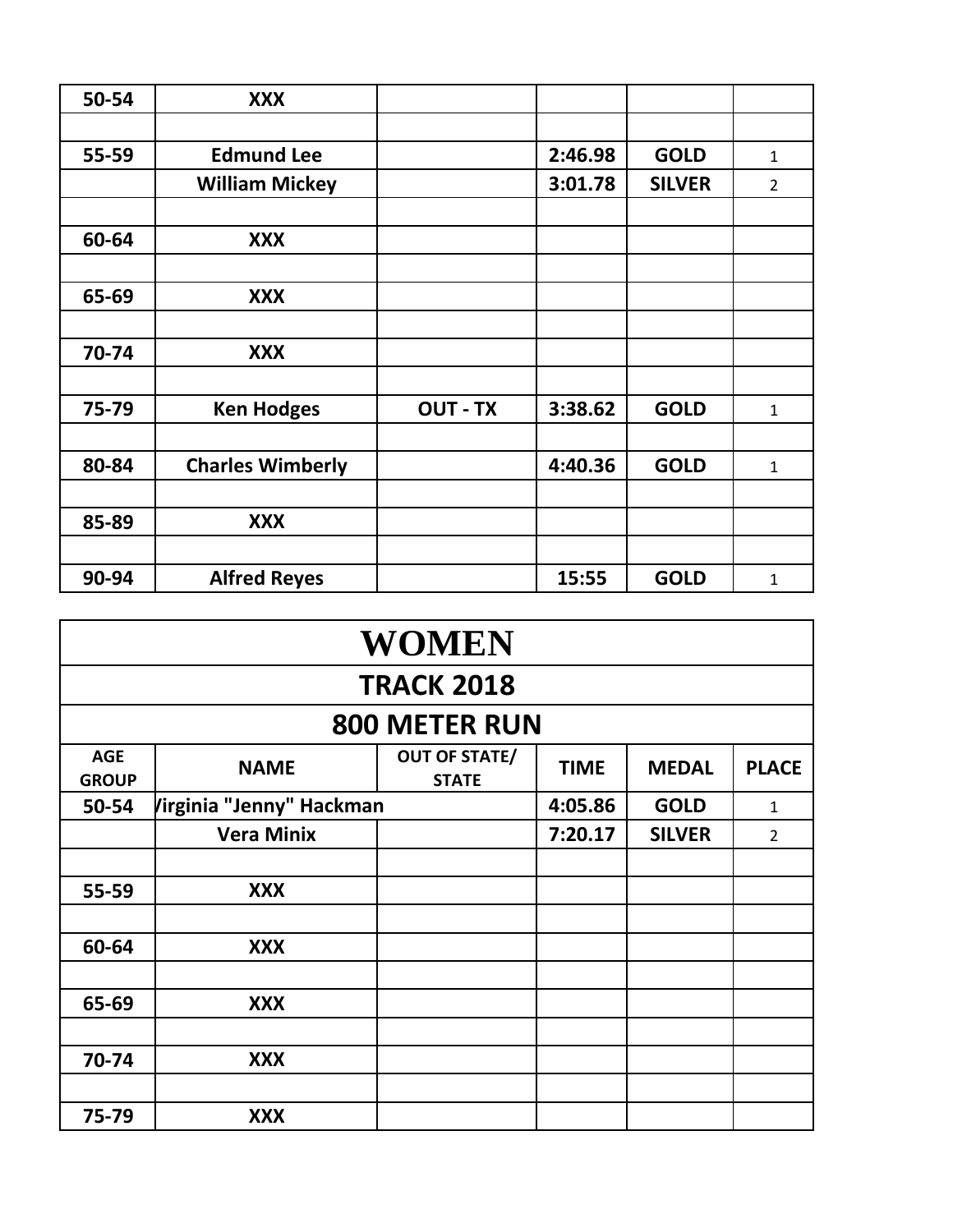| 50-54 | <b>XXX</b>              |                 |         |               |                |
|-------|-------------------------|-----------------|---------|---------------|----------------|
|       |                         |                 |         |               |                |
| 55-59 | <b>Edmund Lee</b>       |                 | 2:46.98 | <b>GOLD</b>   | $\mathbf{1}$   |
|       | <b>William Mickey</b>   |                 | 3:01.78 | <b>SILVER</b> | $\overline{2}$ |
|       |                         |                 |         |               |                |
| 60-64 | <b>XXX</b>              |                 |         |               |                |
|       |                         |                 |         |               |                |
| 65-69 | <b>XXX</b>              |                 |         |               |                |
|       |                         |                 |         |               |                |
| 70-74 | <b>XXX</b>              |                 |         |               |                |
|       |                         |                 |         |               |                |
| 75-79 | <b>Ken Hodges</b>       | <b>OUT - TX</b> | 3:38.62 | <b>GOLD</b>   | $\mathbf{1}$   |
|       |                         |                 |         |               |                |
| 80-84 | <b>Charles Wimberly</b> |                 | 4:40.36 | <b>GOLD</b>   | $\mathbf{1}$   |
|       |                         |                 |         |               |                |
| 85-89 | <b>XXX</b>              |                 |         |               |                |
|       |                         |                 |         |               |                |
| 90-94 | <b>Alfred Reyes</b>     |                 | 15:55   | <b>GOLD</b>   | $\mathbf{1}$   |

| <b>WOMEN</b>               |                          |                                      |             |               |                |  |  |  |
|----------------------------|--------------------------|--------------------------------------|-------------|---------------|----------------|--|--|--|
|                            | <b>TRACK 2018</b>        |                                      |             |               |                |  |  |  |
|                            |                          | <b>800 METER RUN</b>                 |             |               |                |  |  |  |
| <b>AGE</b><br><b>GROUP</b> | <b>NAME</b>              | <b>OUT OF STATE/</b><br><b>STATE</b> | <b>TIME</b> | <b>MEDAL</b>  | <b>PLACE</b>   |  |  |  |
| 50-54                      | Virginia "Jenny" Hackman |                                      | 4:05.86     | <b>GOLD</b>   | $\mathbf{1}$   |  |  |  |
|                            | <b>Vera Minix</b>        |                                      | 7:20.17     | <b>SILVER</b> | $\overline{2}$ |  |  |  |
|                            |                          |                                      |             |               |                |  |  |  |
| 55-59                      | <b>XXX</b>               |                                      |             |               |                |  |  |  |
|                            |                          |                                      |             |               |                |  |  |  |
| 60-64                      | <b>XXX</b>               |                                      |             |               |                |  |  |  |
|                            |                          |                                      |             |               |                |  |  |  |
| 65-69                      | <b>XXX</b>               |                                      |             |               |                |  |  |  |
|                            |                          |                                      |             |               |                |  |  |  |
| 70-74                      | <b>XXX</b>               |                                      |             |               |                |  |  |  |
|                            |                          |                                      |             |               |                |  |  |  |
| 75-79                      | <b>XXX</b>               |                                      |             |               |                |  |  |  |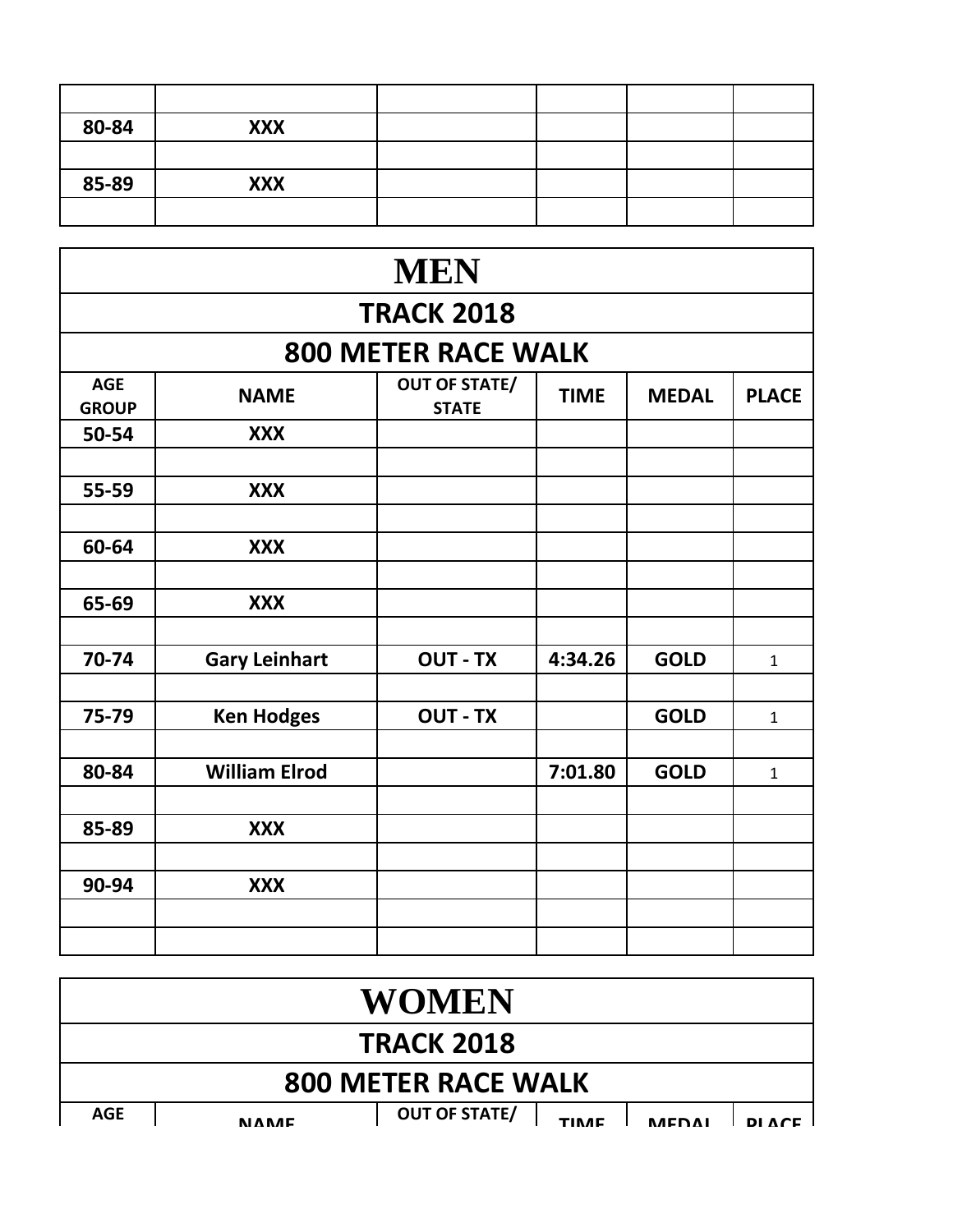| 80-84 | <b>XXX</b> |  |  |
|-------|------------|--|--|
|       |            |  |  |
| 85-89 | <b>XXX</b> |  |  |
|       |            |  |  |

| <b>MEN</b>                 |                      |                                      |             |              |              |  |  |  |
|----------------------------|----------------------|--------------------------------------|-------------|--------------|--------------|--|--|--|
| <b>TRACK 2018</b>          |                      |                                      |             |              |              |  |  |  |
|                            |                      | <b>800 METER RACE WALK</b>           |             |              |              |  |  |  |
| <b>AGE</b><br><b>GROUP</b> | <b>NAME</b>          | <b>OUT OF STATE/</b><br><b>STATE</b> | <b>TIME</b> | <b>MEDAL</b> | <b>PLACE</b> |  |  |  |
| 50-54                      | <b>XXX</b>           |                                      |             |              |              |  |  |  |
| 55-59                      | <b>XXX</b>           |                                      |             |              |              |  |  |  |
| 60-64                      | <b>XXX</b>           |                                      |             |              |              |  |  |  |
| 65-69                      | <b>XXX</b>           |                                      |             |              |              |  |  |  |
| 70-74                      | <b>Gary Leinhart</b> | <b>OUT - TX</b>                      | 4:34.26     | <b>GOLD</b>  | $\mathbf{1}$ |  |  |  |
| 75-79                      | <b>Ken Hodges</b>    | <b>OUT - TX</b>                      |             | <b>GOLD</b>  | $\mathbf{1}$ |  |  |  |
| 80-84                      | <b>William Elrod</b> |                                      | 7:01.80     | <b>GOLD</b>  | $\mathbf{1}$ |  |  |  |
| 85-89                      | <b>XXX</b>           |                                      |             |              |              |  |  |  |
| 90-94                      | <b>XXX</b>           |                                      |             |              |              |  |  |  |
|                            |                      |                                      |             |              |              |  |  |  |

|                            |  |               | <b>WOMEN</b>                                            |  |  |  |  |
|----------------------------|--|---------------|---------------------------------------------------------|--|--|--|--|
| <b>TRACK 2018</b>          |  |               |                                                         |  |  |  |  |
| <b>800 METER RACE WALK</b> |  |               |                                                         |  |  |  |  |
| <b>AGE</b>                 |  | <b>NIARAC</b> | <b>OUT OF STATE/</b><br><b>MEDAI</b><br>DI ACE<br>TINAE |  |  |  |  |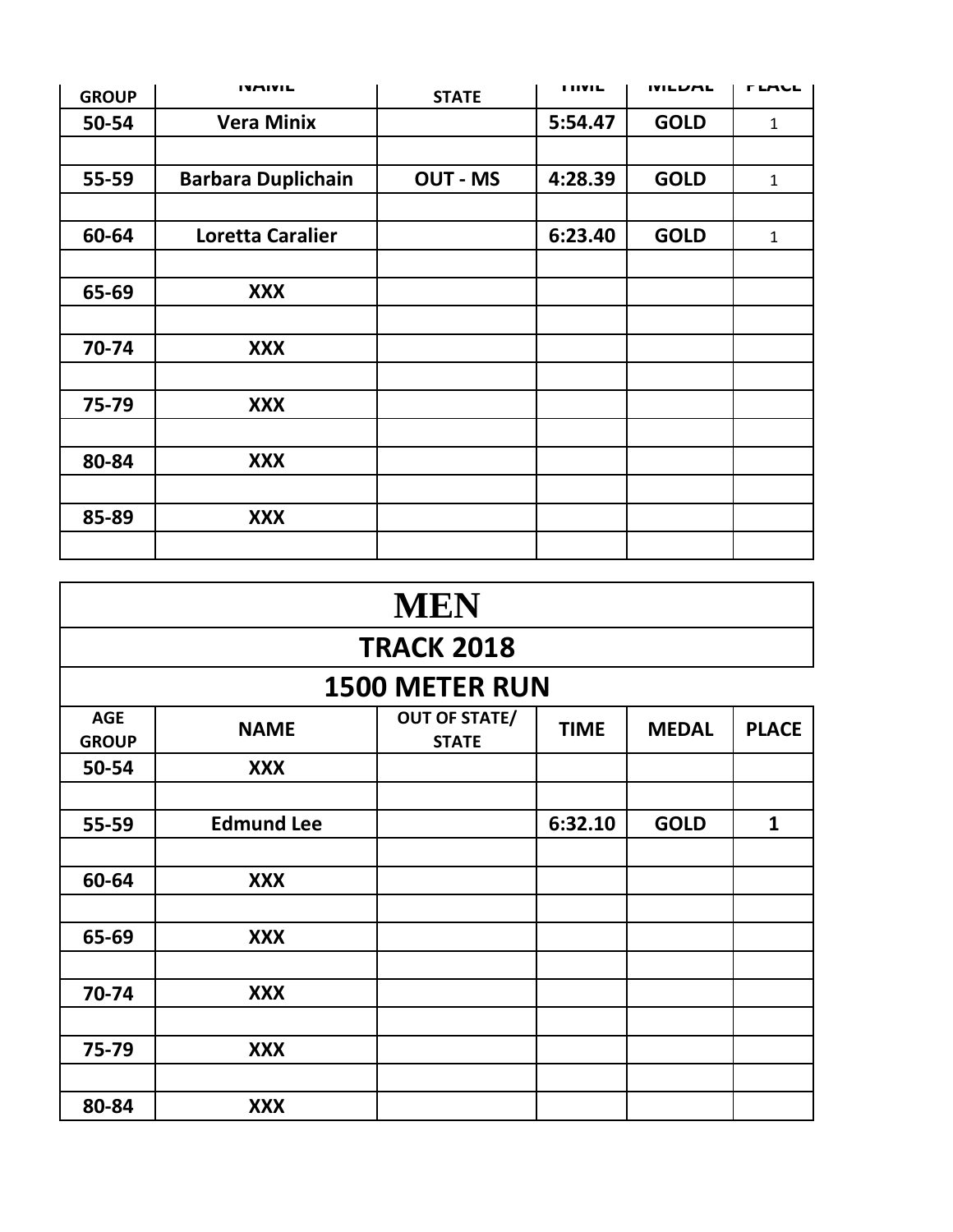| <b>GROUP</b> | <b>IVAIVIL</b>            | <b>STATE</b>    | <b>I HVIL</b> | <b>IVILUML</b> | <b>TLALL</b> |
|--------------|---------------------------|-----------------|---------------|----------------|--------------|
| 50-54        | <b>Vera Minix</b>         |                 | 5:54.47       | <b>GOLD</b>    | $\mathbf{1}$ |
|              |                           |                 |               |                |              |
| 55-59        | <b>Barbara Duplichain</b> | <b>OUT - MS</b> | 4:28.39       | <b>GOLD</b>    | $\mathbf{1}$ |
|              |                           |                 |               |                |              |
| 60-64        | Loretta Caralier          |                 | 6:23.40       | <b>GOLD</b>    | $\mathbf{1}$ |
|              |                           |                 |               |                |              |
| 65-69        | <b>XXX</b>                |                 |               |                |              |
|              |                           |                 |               |                |              |
| 70-74        | <b>XXX</b>                |                 |               |                |              |
|              |                           |                 |               |                |              |
| 75-79        | <b>XXX</b>                |                 |               |                |              |
|              |                           |                 |               |                |              |
| 80-84        | <b>XXX</b>                |                 |               |                |              |
|              |                           |                 |               |                |              |
| 85-89        | <b>XXX</b>                |                 |               |                |              |
|              |                           |                 |               |                |              |

|                            | <b>MEN</b>        |                                      |             |              |              |  |  |
|----------------------------|-------------------|--------------------------------------|-------------|--------------|--------------|--|--|
|                            |                   | <b>TRACK 2018</b>                    |             |              |              |  |  |
|                            |                   | <b>1500 METER RUN</b>                |             |              |              |  |  |
| <b>AGE</b><br><b>GROUP</b> | <b>NAME</b>       | <b>OUT OF STATE/</b><br><b>STATE</b> | <b>TIME</b> | <b>MEDAL</b> | <b>PLACE</b> |  |  |
| 50-54                      | <b>XXX</b>        |                                      |             |              |              |  |  |
|                            |                   |                                      |             |              |              |  |  |
| 55-59                      | <b>Edmund Lee</b> |                                      | 6:32.10     | <b>GOLD</b>  | $\mathbf{1}$ |  |  |
|                            |                   |                                      |             |              |              |  |  |
| 60-64                      | <b>XXX</b>        |                                      |             |              |              |  |  |
|                            |                   |                                      |             |              |              |  |  |
| 65-69                      | <b>XXX</b>        |                                      |             |              |              |  |  |
|                            |                   |                                      |             |              |              |  |  |
| 70-74                      | <b>XXX</b>        |                                      |             |              |              |  |  |
|                            |                   |                                      |             |              |              |  |  |
| 75-79                      | <b>XXX</b>        |                                      |             |              |              |  |  |
|                            |                   |                                      |             |              |              |  |  |
| 80-84                      | <b>XXX</b>        |                                      |             |              |              |  |  |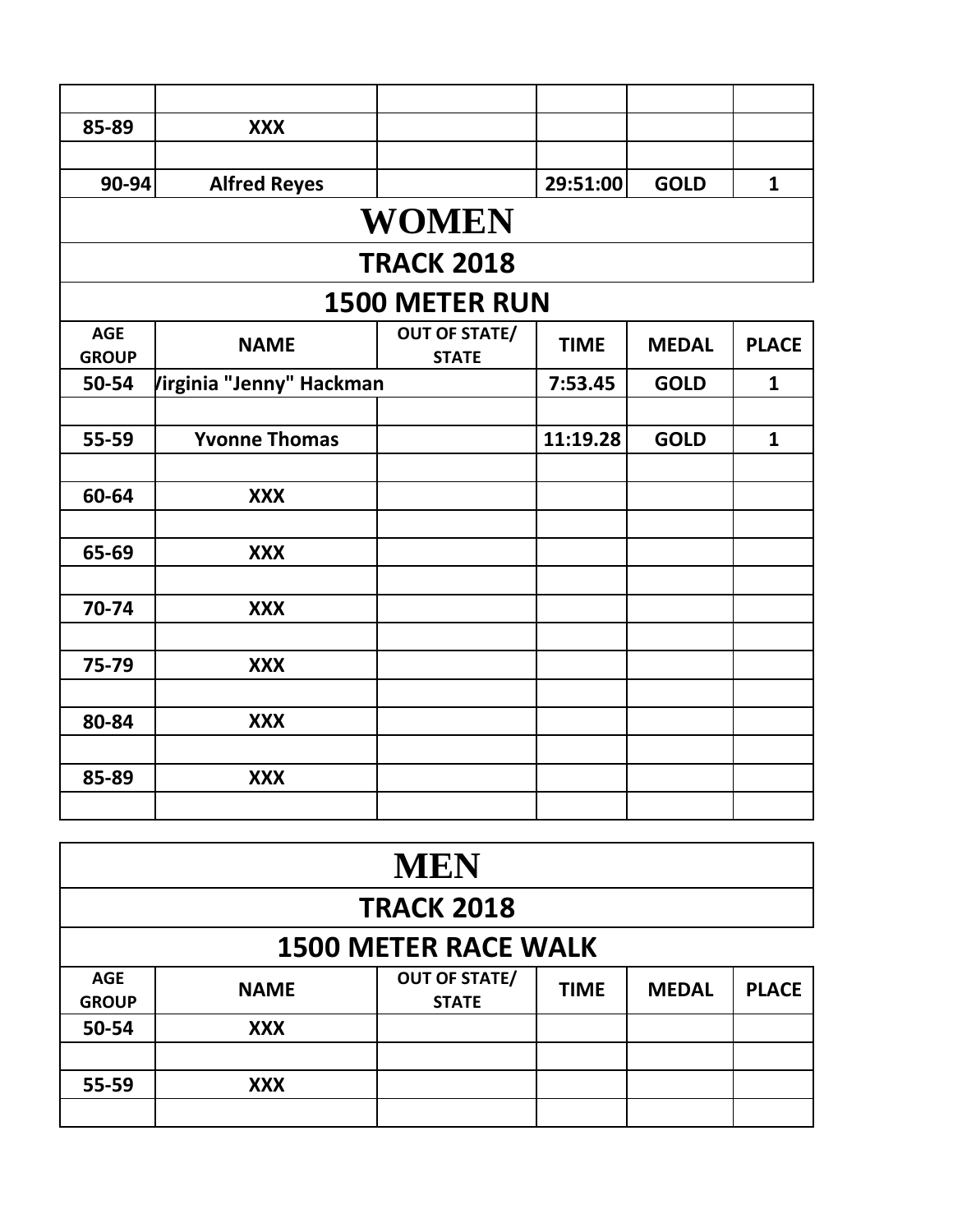| 85-89                      | <b>XXX</b>               |                                      |             |              |              |  |  |
|----------------------------|--------------------------|--------------------------------------|-------------|--------------|--------------|--|--|
|                            |                          |                                      |             |              |              |  |  |
| $90 - 94$                  | <b>Alfred Reyes</b>      |                                      | 29:51:00    | <b>GOLD</b>  | $\mathbf{1}$ |  |  |
|                            |                          | <b>WOMEN</b>                         |             |              |              |  |  |
|                            |                          |                                      |             |              |              |  |  |
|                            |                          | <b>TRACK 2018</b>                    |             |              |              |  |  |
| <b>1500 METER RUN</b>      |                          |                                      |             |              |              |  |  |
| <b>AGE</b><br><b>GROUP</b> | <b>NAME</b>              | <b>OUT OF STATE/</b><br><b>STATE</b> | <b>TIME</b> | <b>MEDAL</b> | <b>PLACE</b> |  |  |
| 50-54                      | Virginia "Jenny" Hackman |                                      | 7:53.45     | <b>GOLD</b>  | $\mathbf{1}$ |  |  |
|                            |                          |                                      |             |              |              |  |  |
| 55-59                      | <b>Yvonne Thomas</b>     |                                      | 11:19.28    | <b>GOLD</b>  | $\mathbf{1}$ |  |  |
|                            |                          |                                      |             |              |              |  |  |
| 60-64                      | <b>XXX</b>               |                                      |             |              |              |  |  |
|                            |                          |                                      |             |              |              |  |  |
| 65-69                      | <b>XXX</b>               |                                      |             |              |              |  |  |
|                            |                          |                                      |             |              |              |  |  |
| 70-74                      | <b>XXX</b>               |                                      |             |              |              |  |  |
|                            |                          |                                      |             |              |              |  |  |
| 75-79                      | <b>XXX</b>               |                                      |             |              |              |  |  |
|                            |                          |                                      |             |              |              |  |  |
| 80-84                      | <b>XXX</b>               |                                      |             |              |              |  |  |
|                            |                          |                                      |             |              |              |  |  |
| 85-89                      | <b>XXX</b>               |                                      |             |              |              |  |  |
|                            |                          |                                      |             |              |              |  |  |

| <b>MEN</b>                  |             |                                      |             |              |              |  |
|-----------------------------|-------------|--------------------------------------|-------------|--------------|--------------|--|
| <b>TRACK 2018</b>           |             |                                      |             |              |              |  |
| <b>1500 METER RACE WALK</b> |             |                                      |             |              |              |  |
| <b>AGE</b><br><b>GROUP</b>  | <b>NAME</b> | <b>OUT OF STATE/</b><br><b>STATE</b> | <b>TIME</b> | <b>MEDAL</b> | <b>PLACE</b> |  |
| 50-54                       | <b>XXX</b>  |                                      |             |              |              |  |
| 55-59                       | <b>XXX</b>  |                                      |             |              |              |  |